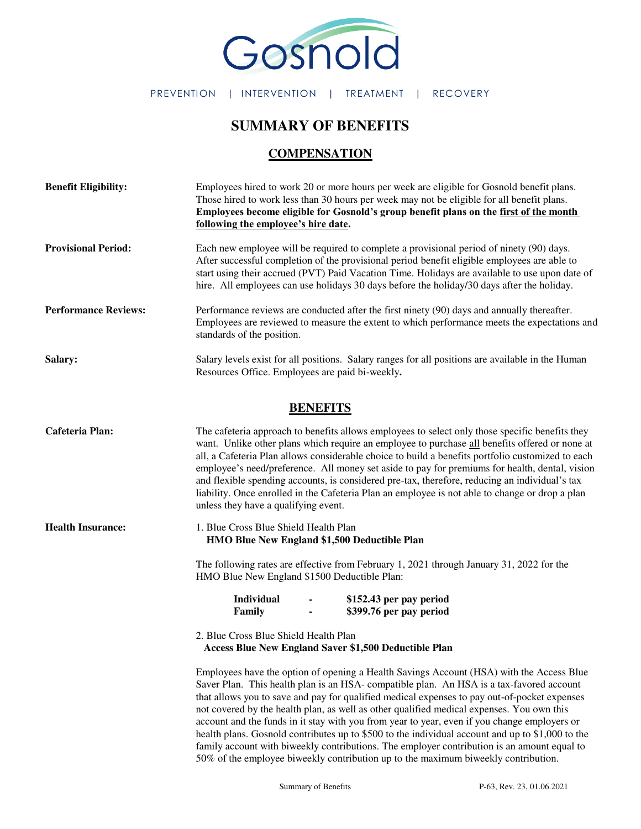

## PREVENTION **|** INTERVENTION **|** TREATMENT **|** RECOVERY

## **SUMMARY OF BENEFITS**

## **COMPENSATION**

| <b>Benefit Eligibility:</b> | Employees hired to work 20 or more hours per week are eligible for Gosnold benefit plans.<br>Those hired to work less than 30 hours per week may not be eligible for all benefit plans.<br>Employees become eligible for Gosnold's group benefit plans on the first of the month<br>following the employee's hire date.                                                                                                                                                                                                                                                                                                                                                                                                                                                   |  |  |  |  |
|-----------------------------|---------------------------------------------------------------------------------------------------------------------------------------------------------------------------------------------------------------------------------------------------------------------------------------------------------------------------------------------------------------------------------------------------------------------------------------------------------------------------------------------------------------------------------------------------------------------------------------------------------------------------------------------------------------------------------------------------------------------------------------------------------------------------|--|--|--|--|
| <b>Provisional Period:</b>  | Each new employee will be required to complete a provisional period of ninety (90) days.<br>After successful completion of the provisional period benefit eligible employees are able to<br>start using their accrued (PVT) Paid Vacation Time. Holidays are available to use upon date of<br>hire. All employees can use holidays 30 days before the holiday/30 days after the holiday.                                                                                                                                                                                                                                                                                                                                                                                  |  |  |  |  |
| <b>Performance Reviews:</b> | Performance reviews are conducted after the first ninety (90) days and annually thereafter.<br>Employees are reviewed to measure the extent to which performance meets the expectations and<br>standards of the position.                                                                                                                                                                                                                                                                                                                                                                                                                                                                                                                                                 |  |  |  |  |
| Salary:                     | Salary levels exist for all positions. Salary ranges for all positions are available in the Human<br>Resources Office. Employees are paid bi-weekly.                                                                                                                                                                                                                                                                                                                                                                                                                                                                                                                                                                                                                      |  |  |  |  |
|                             | <b>BENEFITS</b>                                                                                                                                                                                                                                                                                                                                                                                                                                                                                                                                                                                                                                                                                                                                                           |  |  |  |  |
| Cafeteria Plan:             | The cafeteria approach to benefits allows employees to select only those specific benefits they<br>want. Unlike other plans which require an employee to purchase all benefits offered or none at<br>all, a Cafeteria Plan allows considerable choice to build a benefits portfolio customized to each<br>employee's need/preference. All money set aside to pay for premiums for health, dental, vision<br>and flexible spending accounts, is considered pre-tax, therefore, reducing an individual's tax<br>liability. Once enrolled in the Cafeteria Plan an employee is not able to change or drop a plan<br>unless they have a qualifying event.                                                                                                                     |  |  |  |  |
| <b>Health Insurance:</b>    | 1. Blue Cross Blue Shield Health Plan<br>HMO Blue New England \$1,500 Deductible Plan                                                                                                                                                                                                                                                                                                                                                                                                                                                                                                                                                                                                                                                                                     |  |  |  |  |
|                             | The following rates are effective from February 1, 2021 through January 31, 2022 for the<br>HMO Blue New England \$1500 Deductible Plan:                                                                                                                                                                                                                                                                                                                                                                                                                                                                                                                                                                                                                                  |  |  |  |  |
|                             | <b>Individual</b><br>\$152.43 per pay period<br>\$399.76 per pay period<br>Family                                                                                                                                                                                                                                                                                                                                                                                                                                                                                                                                                                                                                                                                                         |  |  |  |  |
|                             | 2. Blue Cross Blue Shield Health Plan<br><b>Access Blue New England Saver \$1,500 Deductible Plan</b>                                                                                                                                                                                                                                                                                                                                                                                                                                                                                                                                                                                                                                                                     |  |  |  |  |
|                             | Employees have the option of opening a Health Savings Account (HSA) with the Access Blue<br>Saver Plan. This health plan is an HSA-compatible plan. An HSA is a tax-favored account<br>that allows you to save and pay for qualified medical expenses to pay out-of-pocket expenses<br>not covered by the health plan, as well as other qualified medical expenses. You own this<br>account and the funds in it stay with you from year to year, even if you change employers or<br>health plans. Gosnold contributes up to \$500 to the individual account and up to \$1,000 to the<br>family account with biweekly contributions. The employer contribution is an amount equal to<br>50% of the employee biweekly contribution up to the maximum biweekly contribution. |  |  |  |  |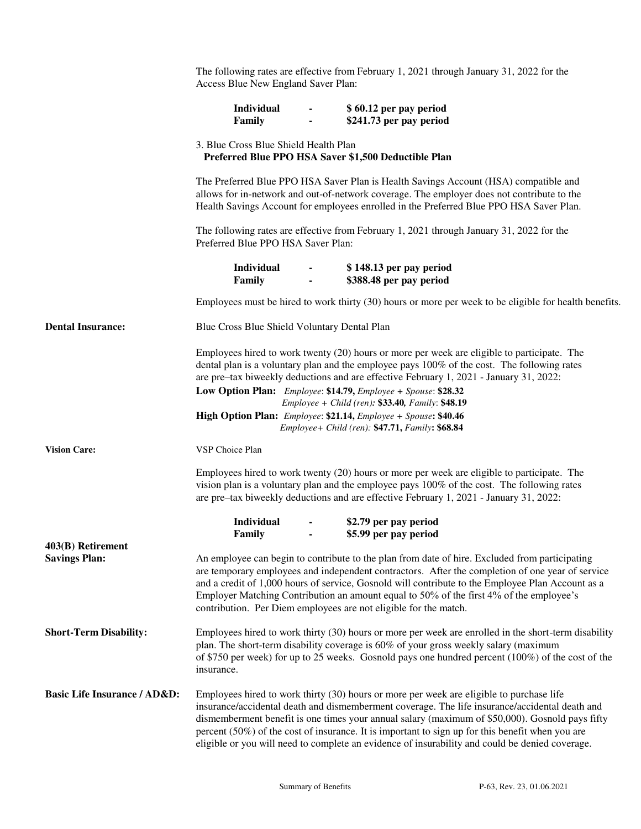|                                           | The following rates are effective from February 1, 2021 through January 31, 2022 for the<br>Access Blue New England Saver Plan:                                                                                                                                                                                                                                                                                                                                                                                                  |                          |                                                                                                                                                                                                                                                                               |  |  |
|-------------------------------------------|----------------------------------------------------------------------------------------------------------------------------------------------------------------------------------------------------------------------------------------------------------------------------------------------------------------------------------------------------------------------------------------------------------------------------------------------------------------------------------------------------------------------------------|--------------------------|-------------------------------------------------------------------------------------------------------------------------------------------------------------------------------------------------------------------------------------------------------------------------------|--|--|
|                                           | <b>Individual</b><br>Family                                                                                                                                                                                                                                                                                                                                                                                                                                                                                                      | $\blacksquare$           | \$60.12 per pay period<br>\$241.73 per pay period                                                                                                                                                                                                                             |  |  |
|                                           | 3. Blue Cross Blue Shield Health Plan                                                                                                                                                                                                                                                                                                                                                                                                                                                                                            |                          | Preferred Blue PPO HSA Saver \$1,500 Deductible Plan                                                                                                                                                                                                                          |  |  |
|                                           |                                                                                                                                                                                                                                                                                                                                                                                                                                                                                                                                  |                          | The Preferred Blue PPO HSA Saver Plan is Health Savings Account (HSA) compatible and<br>allows for in-network and out-of-network coverage. The employer does not contribute to the<br>Health Savings Account for employees enrolled in the Preferred Blue PPO HSA Saver Plan. |  |  |
|                                           | The following rates are effective from February 1, 2021 through January 31, 2022 for the<br>Preferred Blue PPO HSA Saver Plan:                                                                                                                                                                                                                                                                                                                                                                                                   |                          |                                                                                                                                                                                                                                                                               |  |  |
|                                           | <b>Individual</b><br>Family                                                                                                                                                                                                                                                                                                                                                                                                                                                                                                      | $\sim$<br>$\blacksquare$ | \$148.13 per pay period<br>\$388.48 per pay period                                                                                                                                                                                                                            |  |  |
|                                           |                                                                                                                                                                                                                                                                                                                                                                                                                                                                                                                                  |                          | Employees must be hired to work thirty (30) hours or more per week to be eligible for health benefits.                                                                                                                                                                        |  |  |
| <b>Dental Insurance:</b>                  | Blue Cross Blue Shield Voluntary Dental Plan                                                                                                                                                                                                                                                                                                                                                                                                                                                                                     |                          |                                                                                                                                                                                                                                                                               |  |  |
|                                           | Employees hired to work twenty (20) hours or more per week are eligible to participate. The<br>dental plan is a voluntary plan and the employee pays 100% of the cost. The following rates<br>are pre-tax biweekly deductions and are effective February 1, 2021 - January 31, 2022:<br>Low Option Plan: Employee: \$14.79, Employee + Spouse: \$28.32<br>Employee + Child (ren): \$33.40, Family: \$48.19<br>High Option Plan: Employee: \$21.14, Employee + Spouse: \$40.46<br>Employee+ Child (ren): \$47.71, Family: \$68.84 |                          |                                                                                                                                                                                                                                                                               |  |  |
| <b>Vision Care:</b>                       | VSP Choice Plan                                                                                                                                                                                                                                                                                                                                                                                                                                                                                                                  |                          |                                                                                                                                                                                                                                                                               |  |  |
|                                           | Employees hired to work twenty (20) hours or more per week are eligible to participate. The<br>vision plan is a voluntary plan and the employee pays 100% of the cost. The following rates<br>are pre-tax biweekly deductions and are effective February 1, 2021 - January 31, 2022:                                                                                                                                                                                                                                             |                          |                                                                                                                                                                                                                                                                               |  |  |
|                                           | <b>Individual</b><br>Family                                                                                                                                                                                                                                                                                                                                                                                                                                                                                                      |                          | \$2.79 per pay period<br>\$5.99 per pay period                                                                                                                                                                                                                                |  |  |
| 403(B) Retirement<br><b>Savings Plan:</b> | An employee can begin to contribute to the plan from date of hire. Excluded from participating<br>are temporary employees and independent contractors. After the completion of one year of service<br>and a credit of 1,000 hours of service, Gosnold will contribute to the Employee Plan Account as a<br>Employer Matching Contribution an amount equal to 50% of the first 4% of the employee's<br>contribution. Per Diem employees are not eligible for the match.                                                           |                          |                                                                                                                                                                                                                                                                               |  |  |
| <b>Short-Term Disability:</b>             | Employees hired to work thirty (30) hours or more per week are enrolled in the short-term disability<br>plan. The short-term disability coverage is 60% of your gross weekly salary (maximum<br>of \$750 per week) for up to 25 weeks. Gosnold pays one hundred percent (100%) of the cost of the<br>insurance.                                                                                                                                                                                                                  |                          |                                                                                                                                                                                                                                                                               |  |  |
| <b>Basic Life Insurance / AD&amp;D:</b>   | Employees hired to work thirty (30) hours or more per week are eligible to purchase life<br>insurance/accidental death and dismemberment coverage. The life insurance/accidental death and<br>dismemberment benefit is one times your annual salary (maximum of \$50,000). Gosnold pays fifty<br>percent $(50\%)$ of the cost of insurance. It is important to sign up for this benefit when you are<br>eligible or you will need to complete an evidence of insurability and could be denied coverage.                          |                          |                                                                                                                                                                                                                                                                               |  |  |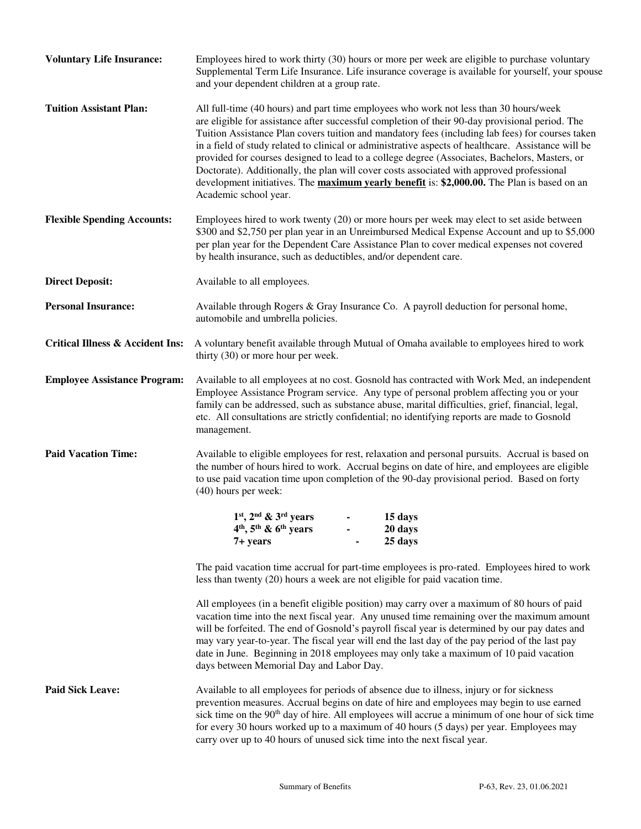| <b>Voluntary Life Insurance:</b>            | Employees hired to work thirty (30) hours or more per week are eligible to purchase voluntary<br>Supplemental Term Life Insurance. Life insurance coverage is available for yourself, your spouse<br>and your dependent children at a group rate.                                                                                                                                                                                                                                                                                                                                                                                                                                                                         |  |  |  |  |  |
|---------------------------------------------|---------------------------------------------------------------------------------------------------------------------------------------------------------------------------------------------------------------------------------------------------------------------------------------------------------------------------------------------------------------------------------------------------------------------------------------------------------------------------------------------------------------------------------------------------------------------------------------------------------------------------------------------------------------------------------------------------------------------------|--|--|--|--|--|
| <b>Tuition Assistant Plan:</b>              | All full-time (40 hours) and part time employees who work not less than 30 hours/week<br>are eligible for assistance after successful completion of their 90-day provisional period. The<br>Tuition Assistance Plan covers tuition and mandatory fees (including lab fees) for courses taken<br>in a field of study related to clinical or administrative aspects of healthcare. Assistance will be<br>provided for courses designed to lead to a college degree (Associates, Bachelors, Masters, or<br>Doctorate). Additionally, the plan will cover costs associated with approved professional<br>development initiatives. The maximum yearly benefit is: \$2,000.00. The Plan is based on an<br>Academic school year. |  |  |  |  |  |
| <b>Flexible Spending Accounts:</b>          | Employees hired to work twenty (20) or more hours per week may elect to set aside between<br>\$300 and \$2,750 per plan year in an Unreimbursed Medical Expense Account and up to \$5,000<br>per plan year for the Dependent Care Assistance Plan to cover medical expenses not covered<br>by health insurance, such as deductibles, and/or dependent care.                                                                                                                                                                                                                                                                                                                                                               |  |  |  |  |  |
| <b>Direct Deposit:</b>                      | Available to all employees.                                                                                                                                                                                                                                                                                                                                                                                                                                                                                                                                                                                                                                                                                               |  |  |  |  |  |
| <b>Personal Insurance:</b>                  | Available through Rogers & Gray Insurance Co. A payroll deduction for personal home,<br>automobile and umbrella policies.                                                                                                                                                                                                                                                                                                                                                                                                                                                                                                                                                                                                 |  |  |  |  |  |
| <b>Critical Illness &amp; Accident Ins:</b> | A voluntary benefit available through Mutual of Omaha available to employees hired to work<br>thirty (30) or more hour per week.                                                                                                                                                                                                                                                                                                                                                                                                                                                                                                                                                                                          |  |  |  |  |  |
| <b>Employee Assistance Program:</b>         | Available to all employees at no cost. Gosnold has contracted with Work Med, an independent<br>Employee Assistance Program service. Any type of personal problem affecting you or your<br>family can be addressed, such as substance abuse, marital difficulties, grief, financial, legal,<br>etc. All consultations are strictly confidential; no identifying reports are made to Gosnold<br>management.                                                                                                                                                                                                                                                                                                                 |  |  |  |  |  |
| <b>Paid Vacation Time:</b>                  | Available to eligible employees for rest, relaxation and personal pursuits. Accrual is based on<br>the number of hours hired to work. Accrual begins on date of hire, and employees are eligible<br>to use paid vacation time upon completion of the 90-day provisional period. Based on forty<br>(40) hours per week:                                                                                                                                                                                                                                                                                                                                                                                                    |  |  |  |  |  |
|                                             | $1st$ , $2nd$ & $3rd$ years<br>15 days<br>and the state of the state of<br>$4th$ , $5th$ & $6th$ years<br>20 days<br>25 days<br>7+ years                                                                                                                                                                                                                                                                                                                                                                                                                                                                                                                                                                                  |  |  |  |  |  |
|                                             | The paid vacation time accrual for part-time employees is pro-rated. Employees hired to work<br>less than twenty (20) hours a week are not eligible for paid vacation time.                                                                                                                                                                                                                                                                                                                                                                                                                                                                                                                                               |  |  |  |  |  |
|                                             | All employees (in a benefit eligible position) may carry over a maximum of 80 hours of paid<br>vacation time into the next fiscal year. Any unused time remaining over the maximum amount<br>will be forfeited. The end of Gosnold's payroll fiscal year is determined by our pay dates and<br>may vary year-to-year. The fiscal year will end the last day of the pay period of the last pay<br>date in June. Beginning in 2018 employees may only take a maximum of 10 paid vacation<br>days between Memorial Day and Labor Day.                                                                                                                                                                                        |  |  |  |  |  |
| <b>Paid Sick Leave:</b>                     | Available to all employees for periods of absence due to illness, injury or for sickness<br>prevention measures. Accrual begins on date of hire and employees may begin to use earned<br>sick time on the 90 <sup>th</sup> day of hire. All employees will accrue a minimum of one hour of sick time<br>for every 30 hours worked up to a maximum of 40 hours (5 days) per year. Employees may<br>carry over up to 40 hours of unused sick time into the next fiscal year.                                                                                                                                                                                                                                                |  |  |  |  |  |